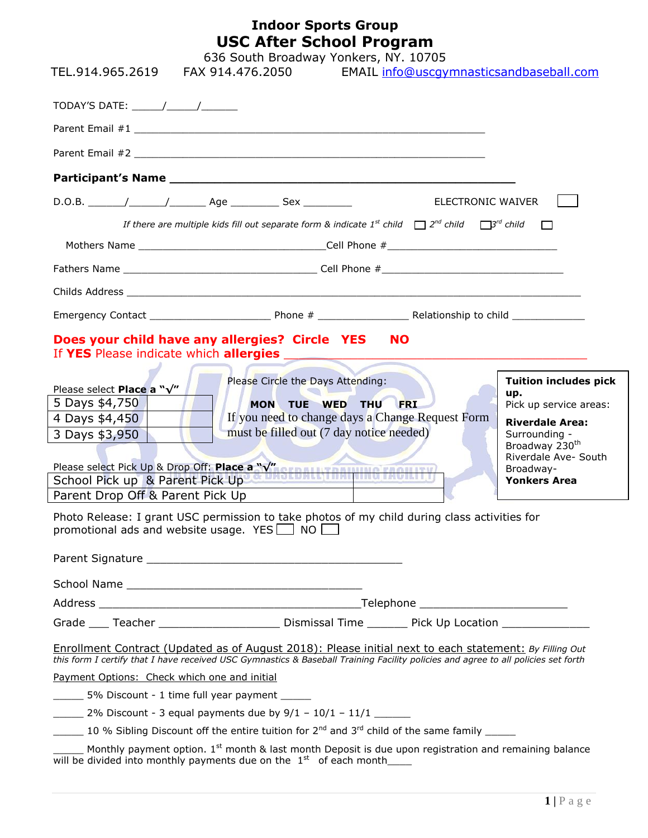## **Indoor Sports Group USC After School Program**

| TEL.914.965.2619                                                                                                                                                                                                                                                                                                                                                                                                   | 636 South Broadway Yonkers, NY. 10705<br>FAX 914.476.2050                                                                                                                                                                                                                                                                                                                                                                                                                                                                                                                                                                           | EMAIL info@uscgymnasticsandbaseball.com |                                                                                                                                                                                                    |
|--------------------------------------------------------------------------------------------------------------------------------------------------------------------------------------------------------------------------------------------------------------------------------------------------------------------------------------------------------------------------------------------------------------------|-------------------------------------------------------------------------------------------------------------------------------------------------------------------------------------------------------------------------------------------------------------------------------------------------------------------------------------------------------------------------------------------------------------------------------------------------------------------------------------------------------------------------------------------------------------------------------------------------------------------------------------|-----------------------------------------|----------------------------------------------------------------------------------------------------------------------------------------------------------------------------------------------------|
| TODAY'S DATE: $\frac{1}{\sqrt{1-\frac{1}{2}}}\frac{1}{\sqrt{1-\frac{1}{2}}}\frac{1}{\sqrt{1-\frac{1}{2}}}\frac{1}{\sqrt{1-\frac{1}{2}}}\frac{1}{\sqrt{1-\frac{1}{2}}}\frac{1}{\sqrt{1-\frac{1}{2}}}\frac{1}{\sqrt{1-\frac{1}{2}}}\frac{1}{\sqrt{1-\frac{1}{2}}}\frac{1}{\sqrt{1-\frac{1}{2}}}\frac{1}{\sqrt{1-\frac{1}{2}}}\frac{1}{\sqrt{1-\frac{1}{2}}}\frac{1}{\sqrt{1-\frac{1}{2}}}\frac{1}{\sqrt{1-\frac{1}{$ |                                                                                                                                                                                                                                                                                                                                                                                                                                                                                                                                                                                                                                     |                                         |                                                                                                                                                                                                    |
|                                                                                                                                                                                                                                                                                                                                                                                                                    |                                                                                                                                                                                                                                                                                                                                                                                                                                                                                                                                                                                                                                     |                                         |                                                                                                                                                                                                    |
|                                                                                                                                                                                                                                                                                                                                                                                                                    |                                                                                                                                                                                                                                                                                                                                                                                                                                                                                                                                                                                                                                     |                                         |                                                                                                                                                                                                    |
|                                                                                                                                                                                                                                                                                                                                                                                                                    |                                                                                                                                                                                                                                                                                                                                                                                                                                                                                                                                                                                                                                     |                                         |                                                                                                                                                                                                    |
|                                                                                                                                                                                                                                                                                                                                                                                                                    |                                                                                                                                                                                                                                                                                                                                                                                                                                                                                                                                                                                                                                     | ELECTRONIC WAIVER                       |                                                                                                                                                                                                    |
|                                                                                                                                                                                                                                                                                                                                                                                                                    | If there are multiple kids fill out separate form & indicate $1^{st}$ child $\Box$ $2^{nd}$ child $\Box$ 3 <sup>rd</sup> child $\Box$                                                                                                                                                                                                                                                                                                                                                                                                                                                                                               |                                         |                                                                                                                                                                                                    |
|                                                                                                                                                                                                                                                                                                                                                                                                                    |                                                                                                                                                                                                                                                                                                                                                                                                                                                                                                                                                                                                                                     |                                         |                                                                                                                                                                                                    |
|                                                                                                                                                                                                                                                                                                                                                                                                                    |                                                                                                                                                                                                                                                                                                                                                                                                                                                                                                                                                                                                                                     |                                         |                                                                                                                                                                                                    |
|                                                                                                                                                                                                                                                                                                                                                                                                                    |                                                                                                                                                                                                                                                                                                                                                                                                                                                                                                                                                                                                                                     |                                         |                                                                                                                                                                                                    |
|                                                                                                                                                                                                                                                                                                                                                                                                                    |                                                                                                                                                                                                                                                                                                                                                                                                                                                                                                                                                                                                                                     |                                         |                                                                                                                                                                                                    |
|                                                                                                                                                                                                                                                                                                                                                                                                                    | Does your child have any allergies? Circle YES NO<br>If YES Please indicate which allergies                                                                                                                                                                                                                                                                                                                                                                                                                                                                                                                                         |                                         |                                                                                                                                                                                                    |
| Please select Place a "√"<br>5 Days \$4,750<br>4 Days \$4,450<br>3 Days \$3,950<br>School Pick up & Parent Pick Up<br>Parent Drop Off & Parent Pick Up                                                                                                                                                                                                                                                             | Please Circle the Days Attending:<br>MON TUE WED THU FRI<br>If you need to change days a Change Request Form<br>must be filled out (7 day notice needed)<br>Please select Pick Up & Drop Off: Place a "V" SEBALLY TRANSIC FACILITY                                                                                                                                                                                                                                                                                                                                                                                                  |                                         | <b>Tuition includes pick</b><br>up.<br>Pick up service areas:<br><b>Riverdale Area:</b><br>Surrounding -<br>Broadway 230 <sup>th</sup><br>Riverdale Ave- South<br>Broadway-<br><b>Yonkers Area</b> |
| promotional ads and website usage. YES 100                                                                                                                                                                                                                                                                                                                                                                         | Photo Release: I grant USC permission to take photos of my child during class activities for                                                                                                                                                                                                                                                                                                                                                                                                                                                                                                                                        |                                         |                                                                                                                                                                                                    |
|                                                                                                                                                                                                                                                                                                                                                                                                                    |                                                                                                                                                                                                                                                                                                                                                                                                                                                                                                                                                                                                                                     |                                         |                                                                                                                                                                                                    |
|                                                                                                                                                                                                                                                                                                                                                                                                                    |                                                                                                                                                                                                                                                                                                                                                                                                                                                                                                                                                                                                                                     |                                         |                                                                                                                                                                                                    |
|                                                                                                                                                                                                                                                                                                                                                                                                                    | Grade ____ Teacher __________________________ Dismissal Time ________ Pick Up Location _____________                                                                                                                                                                                                                                                                                                                                                                                                                                                                                                                                |                                         |                                                                                                                                                                                                    |
| Payment Options: Check which one and initial<br>5% Discount - 1 time full year payment _____                                                                                                                                                                                                                                                                                                                       | Enrollment Contract (Updated as of August 2018): Please initial next to each statement: By Filling Out<br>this form I certify that I have received USC Gymnastics & Baseball Training Facility policies and agree to all policies set forth<br>2% Discount - 3 equal payments due by $9/1 - 10/1 - 11/1$<br>$\frac{10}{10}$ % Sibling Discount off the entire tuition for 2 <sup>nd</sup> and 3 <sup>rd</sup> child of the same family<br>Monthly payment option. 1 <sup>st</sup> month & last month Deposit is due upon registration and remaining balance<br>will be divided into monthly payments due on the $1st$ of each month |                                         |                                                                                                                                                                                                    |
|                                                                                                                                                                                                                                                                                                                                                                                                                    |                                                                                                                                                                                                                                                                                                                                                                                                                                                                                                                                                                                                                                     |                                         |                                                                                                                                                                                                    |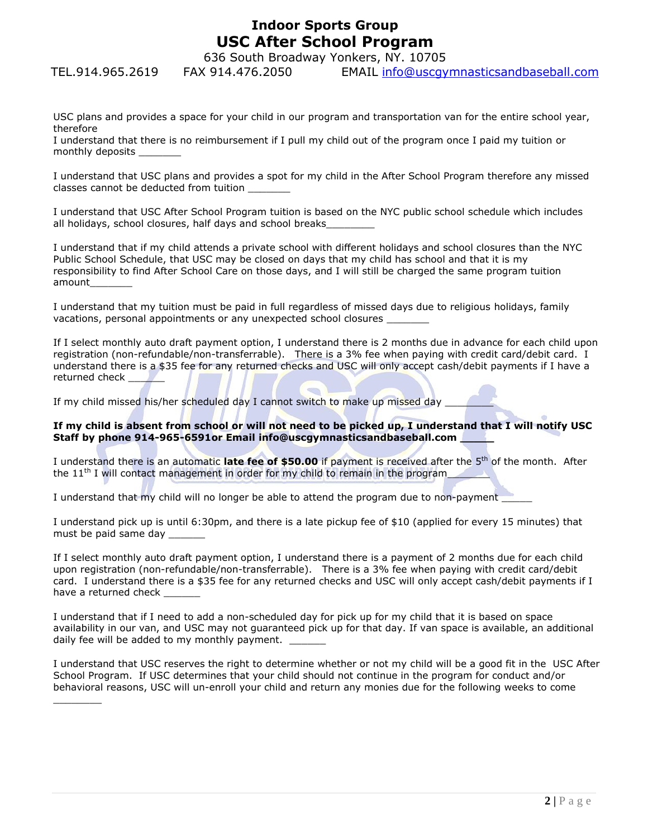## **Indoor Sports Group USC After School Program**

636 South Broadway Yonkers, NY. 10705

TEL.914.965.2619 FAX 914.476.2050 EMAIL info@uscgymnasticsandbaseball.com

USC plans and provides a space for your child in our program and transportation van for the entire school year, therefore

I understand that there is no reimbursement if I pull my child out of the program once I paid my tuition or monthly deposits \_\_\_\_\_\_\_

I understand that USC plans and provides a spot for my child in the After School Program therefore any missed classes cannot be deducted from tuition \_\_\_\_\_\_\_

I understand that USC After School Program tuition is based on the NYC public school schedule which includes all holidays, school closures, half days and school breaks

I understand that if my child attends a private school with different holidays and school closures than the NYC Public School Schedule, that USC may be closed on days that my child has school and that it is my responsibility to find After School Care on those days, and I will still be charged the same program tuition amount\_\_\_\_\_\_\_

I understand that my tuition must be paid in full regardless of missed days due to religious holidays, family vacations, personal appointments or any unexpected school closures \_\_\_\_\_\_\_

If I select monthly auto draft payment option, I understand there is 2 months due in advance for each child upon registration (non-refundable/non-transferrable). There is a 3% fee when paying with credit card/debit card. I understand there is a \$35 fee for any returned checks and USC will only accept cash/debit payments if I have a returned check

If my child missed his/her scheduled day I cannot switch to make up missed day  $\Box$ 

 $\overline{\phantom{a}}$ 

## **If my child is absent from school or will not need to be picked up, I understand that I will notify USC Staff by phone 914-965-6591or Email info@uscgymnasticsandbaseball.com \_\_\_\_\_**

I understand there is an automatic late fee of \$50.00 if payment is received after the 5<sup>th</sup> of the month. After the 11<sup>th</sup> I will contact management in order for my child to remain in the program\_

I understand that my child will no longer be able to attend the program due to non-payment

I understand pick up is until 6:30pm, and there is a late pickup fee of \$10 (applied for every 15 minutes) that must be paid same day \_\_\_\_\_\_\_

If I select monthly auto draft payment option, I understand there is a payment of 2 months due for each child upon registration (non-refundable/non-transferrable). There is a 3% fee when paying with credit card/debit card. I understand there is a \$35 fee for any returned checks and USC will only accept cash/debit payments if I have a returned check

I understand that if I need to add a non-scheduled day for pick up for my child that it is based on space availability in our van, and USC may not guaranteed pick up for that day. If van space is available, an additional daily fee will be added to my monthly payment.

I understand that USC reserves the right to determine whether or not my child will be a good fit in the USC After School Program. If USC determines that your child should not continue in the program for conduct and/or behavioral reasons, USC will un-enroll your child and return any monies due for the following weeks to come